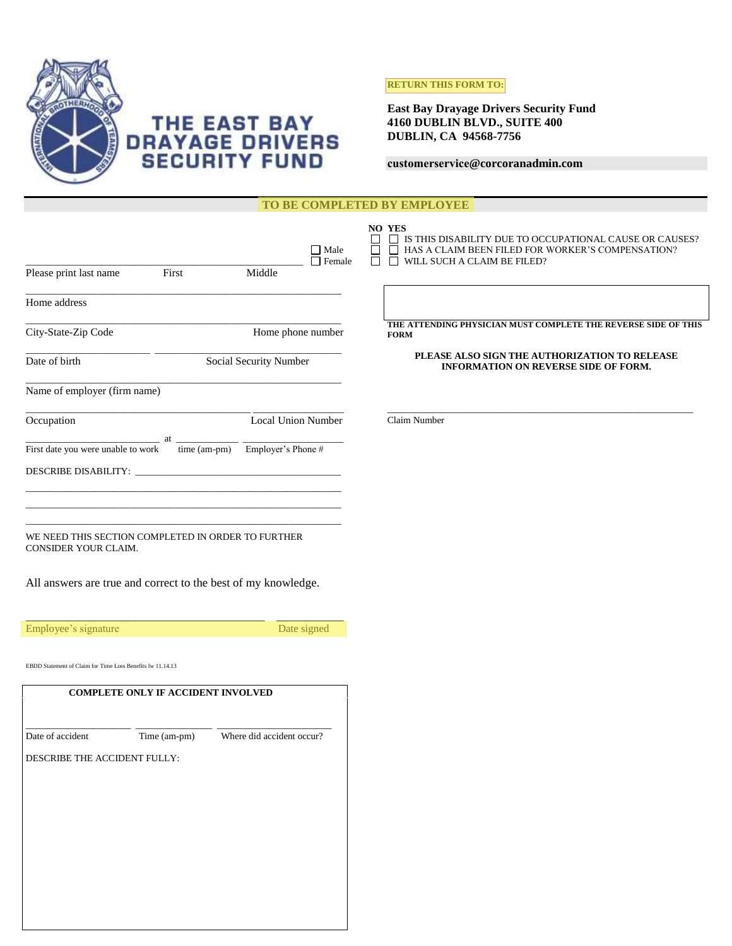

# THE EAST BAY<br>DRAYAGE DRIVERS<br>SECURITY FUND

# **RETURN THIS FORM TO:**

**East Bay Drayage Drivers Security Fund 4160 DUBLIN BLVD., SUITE 400 DUBLIN, CA 94568-7756**

## **customerservice@corcoranadmin.com**

| TO BE COMPLETED BY EMPLOYEE                                                |                                                      |                                                                                                                                                                                            |  |  |
|----------------------------------------------------------------------------|------------------------------------------------------|--------------------------------------------------------------------------------------------------------------------------------------------------------------------------------------------|--|--|
| Please print last name<br>First                                            | $\hfill\blacksquare$ Male<br>$\Box$ Female<br>Middle | NO YES<br>$\hfill\Box$ IS THIS DISABILITY DUE TO OCCUPATIONAL CAUSE OR CAUSES?<br>$\Box$<br>$\Box$ HAS A CLAIM BEEN FILED FOR WORKER'S COMPENSATION?<br>$\Box$ WILL SUCH A CLAIM BE FILED? |  |  |
| Home address                                                               |                                                      |                                                                                                                                                                                            |  |  |
| City-State-Zip Code                                                        | Home phone number                                    | THE ATTENDING PHYSICIAN MUST COMPLETE THE REVERSE SIDE OF THIS<br><b>FORM</b>                                                                                                              |  |  |
| Date of birth                                                              | Social Security Number                               | PLEASE ALSO SIGN THE AUTHORIZATION TO RELEASE<br>INFORMATION ON REVERSE SIDE OF FORM.                                                                                                      |  |  |
| Name of employer (firm name)                                               |                                                      |                                                                                                                                                                                            |  |  |
| Occupation                                                                 | <b>Local Union Number</b>                            | Claim Number                                                                                                                                                                               |  |  |
| $at$ <sub>---</sub><br>First date you were unable to work                  | $\frac{1}{2}$ time (am-pm) Employer's Phone #        |                                                                                                                                                                                            |  |  |
|                                                                            |                                                      |                                                                                                                                                                                            |  |  |
|                                                                            |                                                      |                                                                                                                                                                                            |  |  |
|                                                                            |                                                      |                                                                                                                                                                                            |  |  |
| WE NEED THIS SECTION COMPLETED IN ORDER TO FURTHER<br>CONSIDER YOUR CLAIM. |                                                      |                                                                                                                                                                                            |  |  |
| All answers are true and correct to the best of my knowledge.              |                                                      |                                                                                                                                                                                            |  |  |
| Employee's signature                                                       | Date signed                                          |                                                                                                                                                                                            |  |  |
| EBDD Statement of Claim for Time Loss Benefits lw 11.14.13                 |                                                      |                                                                                                                                                                                            |  |  |
| COMPLETE ONLY IF ACCIDENT INVOLVED                                         |                                                      |                                                                                                                                                                                            |  |  |
|                                                                            |                                                      |                                                                                                                                                                                            |  |  |
| Time (am-pm) Where did accident occur?<br>Date of accident                 |                                                      |                                                                                                                                                                                            |  |  |
| DESCRIBE THE ACCIDENT FULLY:                                               |                                                      |                                                                                                                                                                                            |  |  |
|                                                                            |                                                      |                                                                                                                                                                                            |  |  |
|                                                                            |                                                      |                                                                                                                                                                                            |  |  |
|                                                                            |                                                      |                                                                                                                                                                                            |  |  |
|                                                                            |                                                      |                                                                                                                                                                                            |  |  |
|                                                                            |                                                      |                                                                                                                                                                                            |  |  |
|                                                                            |                                                      |                                                                                                                                                                                            |  |  |